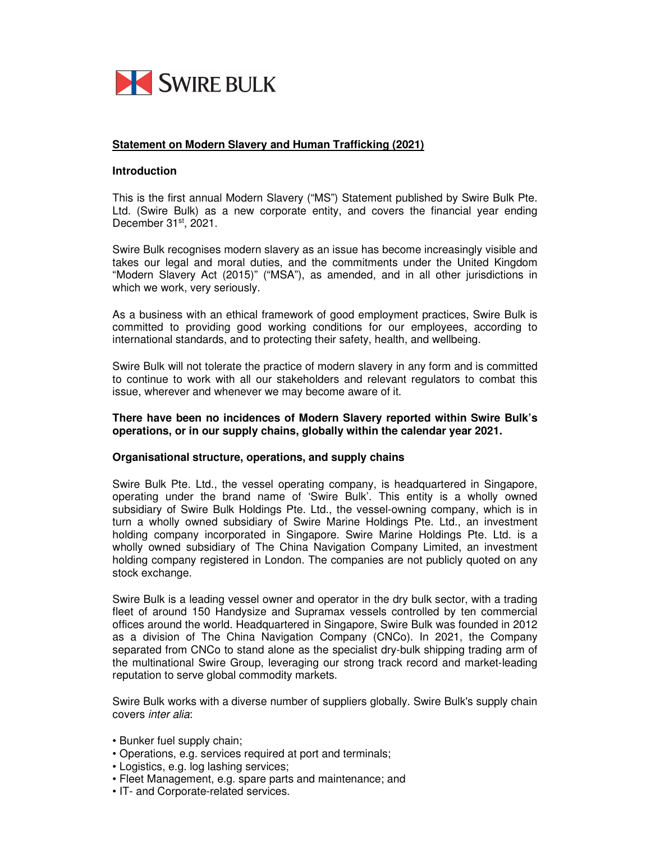

## **Statement on Modern Slavery and Human Trafficking (2021)**

#### **Introduction**

This is the first annual Modern Slavery ("MS") Statement published by Swire Bulk Pte. Ltd. (Swire Bulk) as a new corporate entity, and covers the financial year ending December 31<sup>st</sup>, 2021.

Swire Bulk recognises modern slavery as an issue has become increasingly visible and takes our legal and moral duties, and the commitments under the United Kingdom "Modern Slavery Act (2015)" ("MSA"), as amended, and in all other jurisdictions in which we work, very seriously.

As a business with an ethical framework of good employment practices, Swire Bulk is committed to providing good working conditions for our employees, according to international standards, and to protecting their safety, health, and wellbeing.

Swire Bulk will not tolerate the practice of modern slavery in any form and is committed to continue to work with all our stakeholders and relevant regulators to combat this issue, wherever and whenever we may become aware of it.

#### **There have been no incidences of Modern Slavery reported within Swire Bulk's operations, or in our supply chains, globally within the calendar year 2021.**

#### **Organisational structure, operations, and supply chains**

Swire Bulk Pte. Ltd., the vessel operating company, is headquartered in Singapore, operating under the brand name of 'Swire Bulk'. This entity is a wholly owned subsidiary of Swire Bulk Holdings Pte. Ltd., the vessel-owning company, which is in turn a wholly owned subsidiary of Swire Marine Holdings Pte. Ltd., an investment holding company incorporated in Singapore. Swire Marine Holdings Pte. Ltd. is a wholly owned subsidiary of The China Navigation Company Limited, an investment holding company registered in London. The companies are not publicly quoted on any stock exchange.

Swire Bulk is a leading vessel owner and operator in the dry bulk sector, with a trading fleet of around 150 Handysize and Supramax vessels controlled by ten commercial offices around the world. Headquartered in Singapore, Swire Bulk was founded in 2012 as a division of The China Navigation Company (CNCo). In 2021, the Company separated from CNCo to stand alone as the specialist dry-bulk shipping trading arm of the multinational Swire Group, leveraging our strong track record and market-leading reputation to serve global commodity markets.

Swire Bulk works with a diverse number of suppliers globally. Swire Bulk's supply chain covers inter alia:

- Bunker fuel supply chain;
- Operations, e.g. services required at port and terminals;
- Logistics, e.g. log lashing services;
- Fleet Management, e.g. spare parts and maintenance; and
- IT- and Corporate-related services.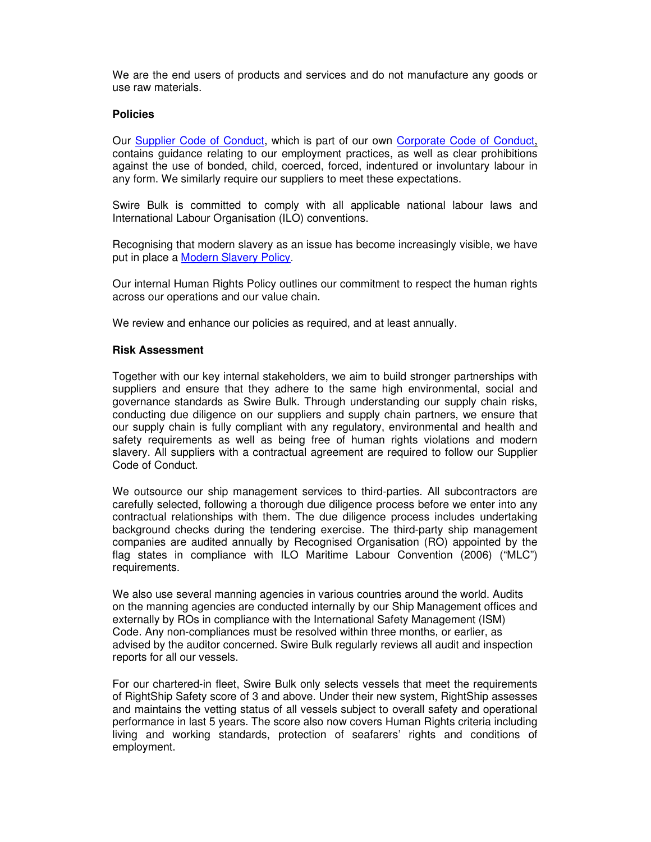We are the end users of products and services and do not manufacture any goods or use raw materials.

### **Policies**

Our Supplier Code of Conduct, which is part of our own Corporate Code of Conduct, contains guidance relating to our employment practices, as well as clear prohibitions against the use of bonded, child, coerced, forced, indentured or involuntary labour in any form. We similarly require our suppliers to meet these expectations.

Swire Bulk is committed to comply with all applicable national labour laws and International Labour Organisation (ILO) conventions.

Recognising that modern slavery as an issue has become increasingly visible, we have put in place a Modern Slavery Policy.

Our internal Human Rights Policy outlines our commitment to respect the human rights across our operations and our value chain.

We review and enhance our policies as required, and at least annually.

#### **Risk Assessment**

Together with our key internal stakeholders, we aim to build stronger partnerships with suppliers and ensure that they adhere to the same high environmental, social and governance standards as Swire Bulk. Through understanding our supply chain risks, conducting due diligence on our suppliers and supply chain partners, we ensure that our supply chain is fully compliant with any regulatory, environmental and health and safety requirements as well as being free of human rights violations and modern slavery. All suppliers with a contractual agreement are required to follow our Supplier Code of Conduct.

We outsource our ship management services to third-parties. All subcontractors are carefully selected, following a thorough due diligence process before we enter into any contractual relationships with them. The due diligence process includes undertaking background checks during the tendering exercise. The third-party ship management companies are audited annually by Recognised Organisation (RO) appointed by the flag states in compliance with ILO Maritime Labour Convention (2006) ("MLC") requirements.

We also use several manning agencies in various countries around the world. Audits on the manning agencies are conducted internally by our Ship Management offices and externally by ROs in compliance with the International Safety Management (ISM) Code. Any non-compliances must be resolved within three months, or earlier, as advised by the auditor concerned. Swire Bulk regularly reviews all audit and inspection reports for all our vessels.

For our chartered-in fleet, Swire Bulk only selects vessels that meet the requirements of RightShip Safety score of 3 and above. Under their new system, RightShip assesses and maintains the vetting status of all vessels subject to overall safety and operational performance in last 5 years. The score also now covers Human Rights criteria including living and working standards, protection of seafarers' rights and conditions of employment.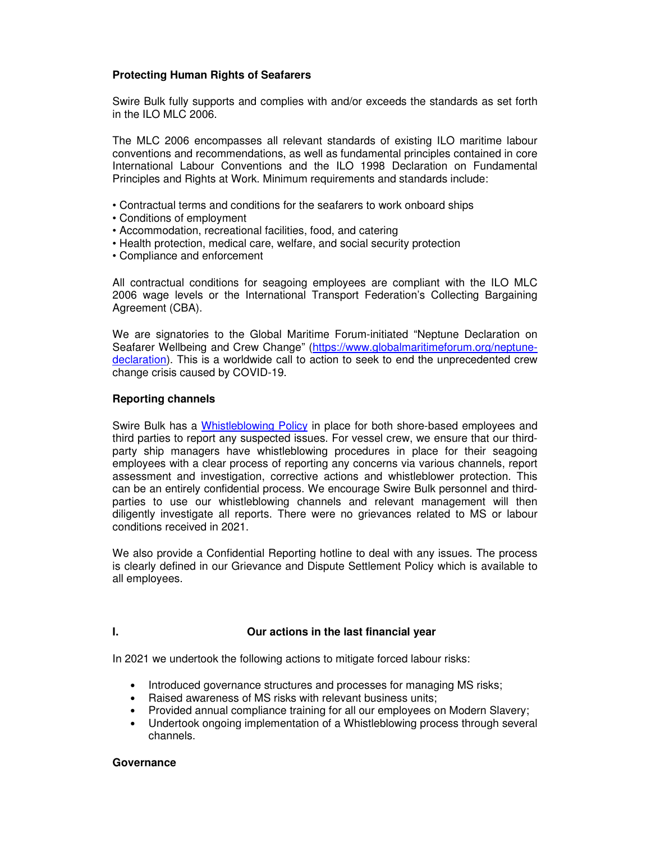## **Protecting Human Rights of Seafarers**

Swire Bulk fully supports and complies with and/or exceeds the standards as set forth in the ILO MLC 2006.

The MLC 2006 encompasses all relevant standards of existing ILO maritime labour conventions and recommendations, as well as fundamental principles contained in core International Labour Conventions and the ILO 1998 Declaration on Fundamental Principles and Rights at Work. Minimum requirements and standards include:

- Contractual terms and conditions for the seafarers to work onboard ships
- Conditions of employment
- Accommodation, recreational facilities, food, and catering
- Health protection, medical care, welfare, and social security protection
- Compliance and enforcement

All contractual conditions for seagoing employees are compliant with the ILO MLC 2006 wage levels or the International Transport Federation's Collecting Bargaining Agreement (CBA).

We are signatories to the Global Maritime Forum-initiated "Neptune Declaration on Seafarer Wellbeing and Crew Change" (https://www.globalmaritimeforum.org/neptunedeclaration). This is a worldwide call to action to seek to end the unprecedented crew change crisis caused by COVID-19.

## **Reporting channels**

Swire Bulk has a Whistleblowing Policy in place for both shore-based employees and third parties to report any suspected issues. For vessel crew, we ensure that our thirdparty ship managers have whistleblowing procedures in place for their seagoing employees with a clear process of reporting any concerns via various channels, report assessment and investigation, corrective actions and whistleblower protection. This can be an entirely confidential process. We encourage Swire Bulk personnel and thirdparties to use our whistleblowing channels and relevant management will then diligently investigate all reports. There were no grievances related to MS or labour conditions received in 2021.

We also provide a Confidential Reporting hotline to deal with any issues. The process is clearly defined in our Grievance and Dispute Settlement Policy which is available to all employees.

# **I. Our actions in the last financial year**

In 2021 we undertook the following actions to mitigate forced labour risks:

- Introduced governance structures and processes for managing MS risks;
- Raised awareness of MS risks with relevant business units;
- Provided annual compliance training for all our employees on Modern Slavery;
- Undertook ongoing implementation of a Whistleblowing process through several channels.

#### **Governance**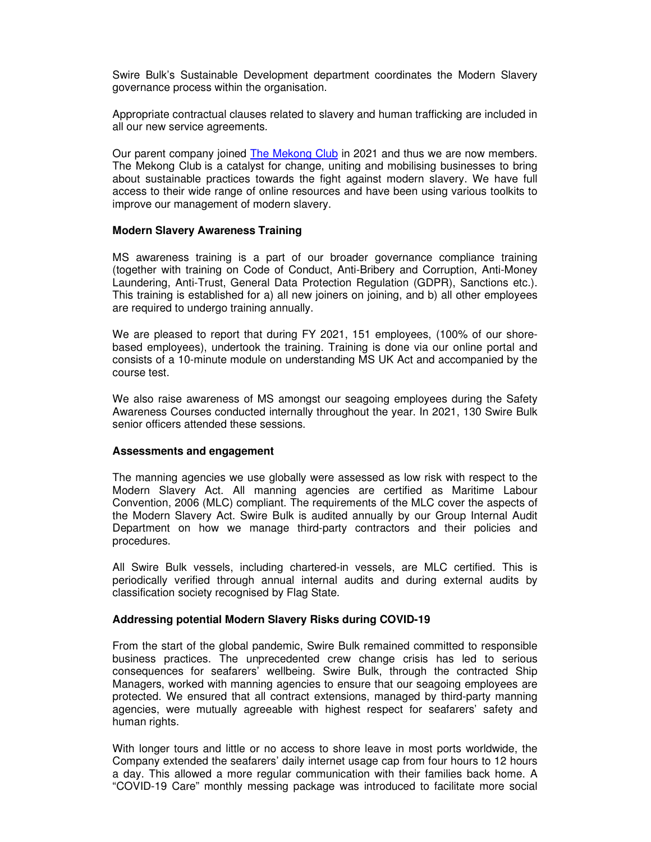Swire Bulk's Sustainable Development department coordinates the Modern Slavery governance process within the organisation.

Appropriate contractual clauses related to slavery and human trafficking are included in all our new service agreements.

Our parent company joined The Mekong Club in 2021 and thus we are now members. The Mekong Club is a catalyst for change, uniting and mobilising businesses to bring about sustainable practices towards the fight against modern slavery. We have full access to their wide range of online resources and have been using various toolkits to improve our management of modern slavery.

#### **Modern Slavery Awareness Training**

MS awareness training is a part of our broader governance compliance training (together with training on Code of Conduct, Anti-Bribery and Corruption, Anti-Money Laundering, Anti-Trust, General Data Protection Regulation (GDPR), Sanctions etc.). This training is established for a) all new joiners on joining, and b) all other employees are required to undergo training annually.

We are pleased to report that during FY 2021, 151 employees, (100% of our shorebased employees), undertook the training. Training is done via our online portal and consists of a 10-minute module on understanding MS UK Act and accompanied by the course test.

We also raise awareness of MS amongst our seagoing employees during the Safety Awareness Courses conducted internally throughout the year. In 2021, 130 Swire Bulk senior officers attended these sessions.

#### **Assessments and engagement**

The manning agencies we use globally were assessed as low risk with respect to the Modern Slavery Act. All manning agencies are certified as Maritime Labour Convention, 2006 (MLC) compliant. The requirements of the MLC cover the aspects of the Modern Slavery Act. Swire Bulk is audited annually by our Group Internal Audit Department on how we manage third-party contractors and their policies and procedures.

All Swire Bulk vessels, including chartered-in vessels, are MLC certified. This is periodically verified through annual internal audits and during external audits by classification society recognised by Flag State.

#### **Addressing potential Modern Slavery Risks during COVID-19**

From the start of the global pandemic, Swire Bulk remained committed to responsible business practices. The unprecedented crew change crisis has led to serious consequences for seafarers' wellbeing. Swire Bulk, through the contracted Ship Managers, worked with manning agencies to ensure that our seagoing employees are protected. We ensured that all contract extensions, managed by third-party manning agencies, were mutually agreeable with highest respect for seafarers' safety and human rights.

With longer tours and little or no access to shore leave in most ports worldwide, the Company extended the seafarers' daily internet usage cap from four hours to 12 hours a day. This allowed a more regular communication with their families back home. A "COVID-19 Care" monthly messing package was introduced to facilitate more social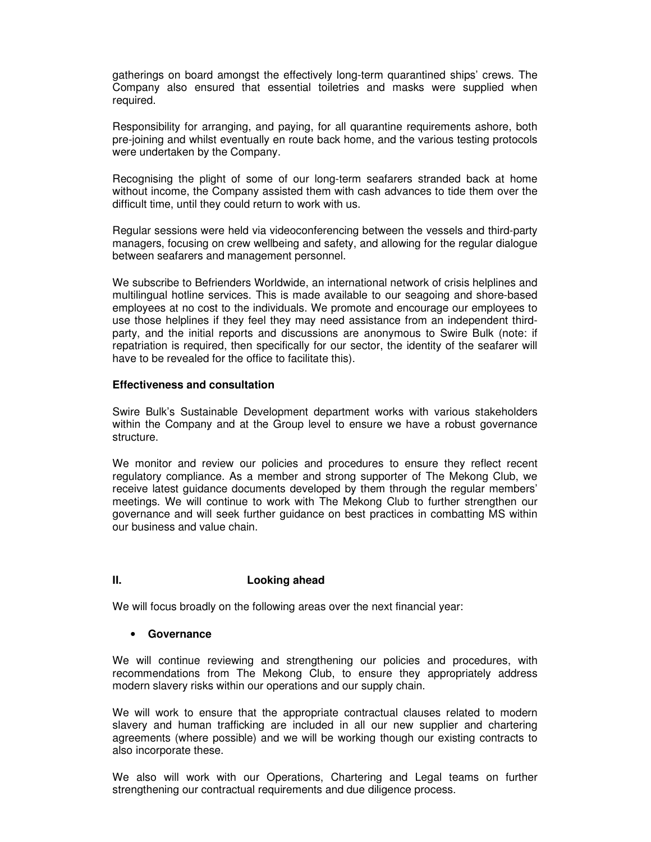gatherings on board amongst the effectively long-term quarantined ships' crews. The Company also ensured that essential toiletries and masks were supplied when required.

Responsibility for arranging, and paying, for all quarantine requirements ashore, both pre-joining and whilst eventually en route back home, and the various testing protocols were undertaken by the Company.

Recognising the plight of some of our long-term seafarers stranded back at home without income, the Company assisted them with cash advances to tide them over the difficult time, until they could return to work with us.

Regular sessions were held via videoconferencing between the vessels and third-party managers, focusing on crew wellbeing and safety, and allowing for the regular dialogue between seafarers and management personnel.

We subscribe to Befrienders Worldwide, an international network of crisis helplines and multilingual hotline services. This is made available to our seagoing and shore-based employees at no cost to the individuals. We promote and encourage our employees to use those helplines if they feel they may need assistance from an independent thirdparty, and the initial reports and discussions are anonymous to Swire Bulk (note: if repatriation is required, then specifically for our sector, the identity of the seafarer will have to be revealed for the office to facilitate this).

## **Effectiveness and consultation**

Swire Bulk's Sustainable Development department works with various stakeholders within the Company and at the Group level to ensure we have a robust governance structure.

We monitor and review our policies and procedures to ensure they reflect recent regulatory compliance. As a member and strong supporter of The Mekong Club, we receive latest guidance documents developed by them through the regular members' meetings. We will continue to work with The Mekong Club to further strengthen our governance and will seek further guidance on best practices in combatting MS within our business and value chain.

# **II. Looking ahead**

We will focus broadly on the following areas over the next financial year:

# • **Governance**

We will continue reviewing and strengthening our policies and procedures, with recommendations from The Mekong Club, to ensure they appropriately address modern slavery risks within our operations and our supply chain.

We will work to ensure that the appropriate contractual clauses related to modern slavery and human trafficking are included in all our new supplier and chartering agreements (where possible) and we will be working though our existing contracts to also incorporate these.

We also will work with our Operations, Chartering and Legal teams on further strengthening our contractual requirements and due diligence process.